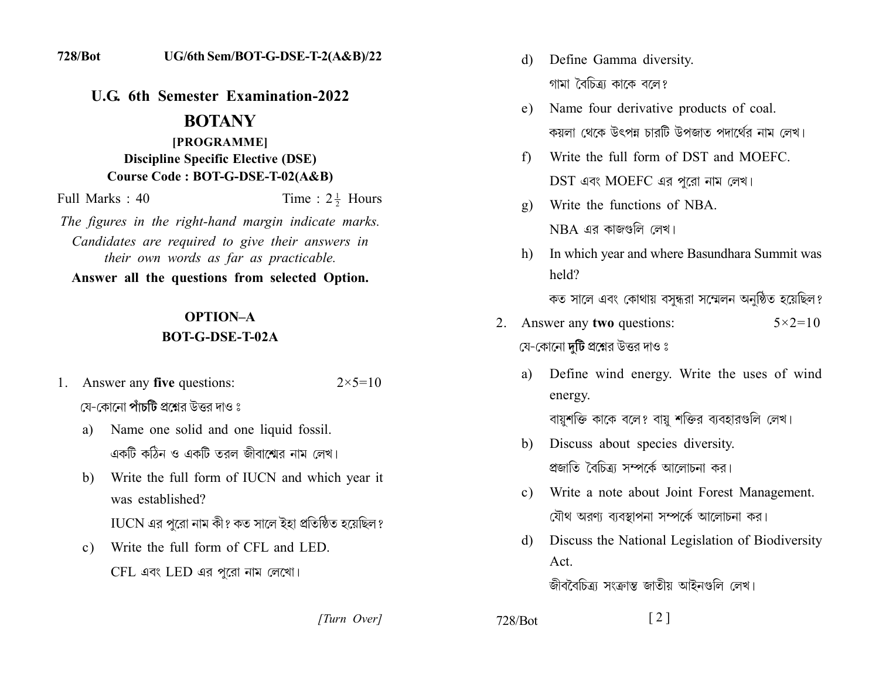**U.G. 6th Semester Examination-2022** 

### **BOTANY**

## [PROGRAMME] **Discipline Specific Elective (DSE)** Course Code: BOT-G-DSE-T-02(A&B)

Time :  $2\frac{1}{2}$  Hours Full Marks: 40

The figures in the right-hand margin indicate marks. Candidates are required to give their answers in their own words as far as practicable.

Answer all the questions from selected Option.

# **OPTION-A BOT-G-DSE-T-02A**

- 1. Answer any five questions:  $2 \times 5 = 10$ যে-কোনো **পাঁচটি** প্রশ্নের উত্তর দাও ঃ
	- Name one solid and one liquid fossil. a) একটি কঠিন ও একটি তরল জীবাশ্মের নাম লেখ।
	- b) Write the full form of IUCN and which year it was established?

 $\overline{\rm IUCN}$  এর পুরো নাম কী? কত সালে ইহা প্রতিষ্ঠিত হয়েছিল?

Write the full form of CFL and LED.  $\mathbf{c}$ )  $CFL$  এবং  $LED$  এর পুরো নাম লেখো।

[Turn Over]

- Define Gamma diversity. d) গামা বৈচিত্রা কাকে বলে?
- e) Name four derivative products of coal. কয়লা থেকে উৎপন্ন চাবটি উপজাত পদার্থের নাম লেখ।
- Write the full form of DST and MOEFC.  $f$ DST এবং MOEFC এর পুরো নাম লেখ।
- Write the functions of NBA  $\mathfrak{g}$ )  $NBA$  এর কাজগুলি লেখ।
- In which year and where Basundhara Summit was h) held?

কত সালে এবং কোথায় বসন্ধরা সম্মেলন অনুষ্ঠিত হয়েছিল?

- 2. Answer any two questions:  $5 \times 2 = 10$ যে-কোনো দটি প্রশ্নের উত্তর দাও ঃ
	- Define wind energy. Write the uses of wind a) energy. বায়ুশক্তি কাকে বলে? বায়ু শক্তির ব্যবহারগুলি লেখ।
	- b) Discuss about species diversity. প্রজাতি বৈচিত্র্য সম্পর্কে আলোচনা কর।
	- Write a note about Joint Forest Management.  $c)$ যৌথ অরণ্য ব্যবস্থাপনা সম্পর্কে আলোচনা কর।
	- Discuss the National Legislation of Biodiversity  $d)$ Act.

জীববৈচিত্র্য সংক্রান্ত জাতীয় আইনগুলি লেখ।

728/Bot

 $\lceil 2 \rceil$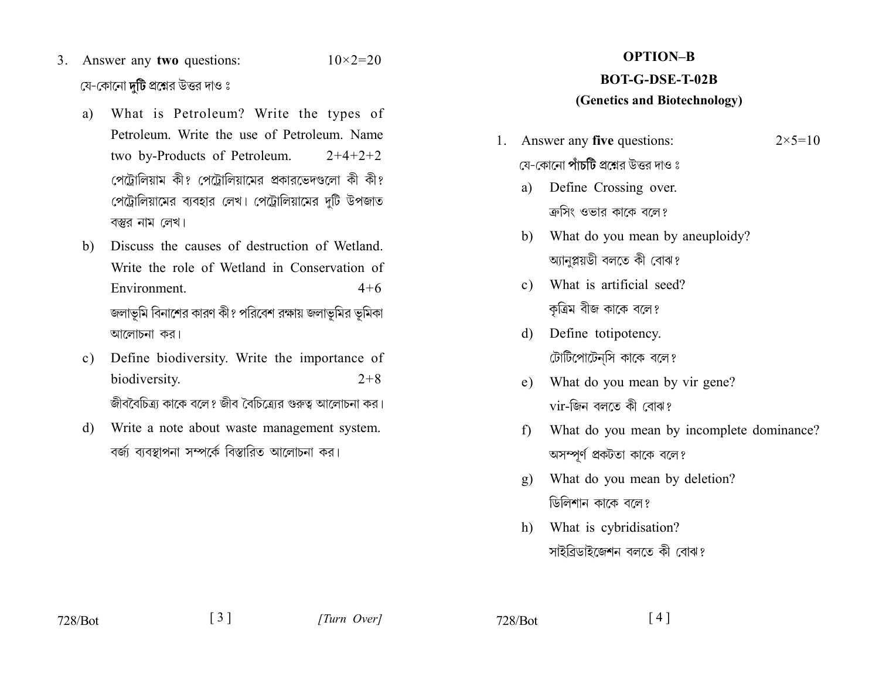- 3. Answer any two questions:  $10 \times 2 = 20$ যে-কোনো **দুটি** প্রশ্নের উত্তর দাও ঃ
	- What is Petroleum? Write the types of a) Petroleum Write the use of Petroleum Name two by-Products of Petroleum.  $2+4+2+2$ পেটোলিয়াম কী? পেটোলিয়ামের প্রকারভেদণ্ডলো কী কী? পেট্রোলিয়ামের ব্যবহার লেখ। পেট্রোলিয়ামের দুটি উপজাত বস্তুর নাম লেখ।
	- Discuss the causes of destruction of Wetland.  $h$ Write the role of Wetland in Conservation of Environment.  $4 + 6$ জলাভূমি বিনাশের কারণ কী? পরিবেশ রক্ষায় জলাভূমির ভূমিকা আলোচনা কর।
	- Define biodiversity. Write the importance of  $\mathbf{c}$ ) biodiversity.  $2+8$ জীববৈচিত্র্য কাকে বলে? জীব বৈচিত্র্যের গুরুত্ব আলোচনা কর।
	- d) Write a note about waste management system. বর্জা ব্যবস্থাপনা সম্পর্কে বিস্তারিত আলোচনা কর।

# **OPTION-B**

## **BOT-G-DSE-T-02B**

#### (Genetics and Biotechnology)

- 1. Answer any five questions:  $2 \times 5 = 10$ যে-কোনো **পাঁচটি** প্রশ্নের উত্তর দাও ঃ
	- Define Crossing over. a) ক্রসিং ওভার কাকে বলে?
	- b) What do you mean by aneuploidy? আনপ্লয়ডী বলতে কী বোঝ?
	- c) What is artificial seed? কৃত্রিম বীজ কাকে বলে?
	- Define totipotency. d) টোটিপোটেন্সি কাকে বলে?
	- What do you mean by vir gene?  $e)$ vir-জিন বলতে কী বোঝ?
	- What do you mean by incomplete dominance?  $f$ অসম্পূর্ণ প্রকটতা কাকে বলে?
	- What do you mean by deletion?  $g)$ ডিলিশান কাকে বলে?
	- What is cybridisation?  $h)$ সাইব্রিডাইজেশন বলতে কী বোঝ?